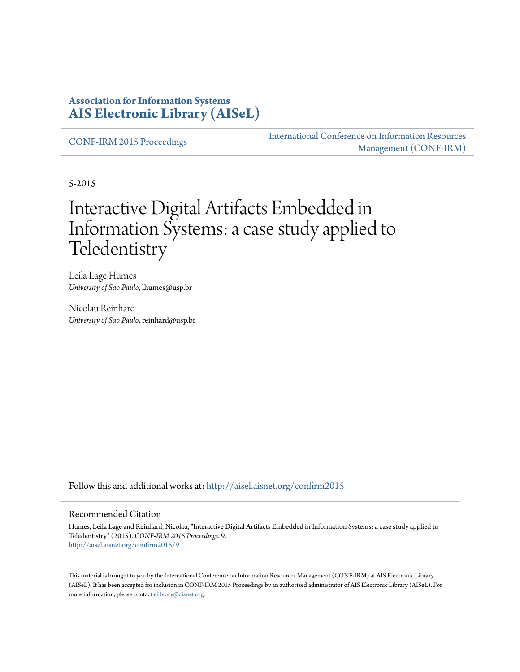#### **Association for Information Systems [AIS Electronic Library \(AISeL\)](http://aisel.aisnet.org?utm_source=aisel.aisnet.org%2Fconfirm2015%2F9&utm_medium=PDF&utm_campaign=PDFCoverPages)**

[CONF-IRM 2015 Proceedings](http://aisel.aisnet.org/confirm2015?utm_source=aisel.aisnet.org%2Fconfirm2015%2F9&utm_medium=PDF&utm_campaign=PDFCoverPages)

[International Conference on Information Resources](http://aisel.aisnet.org/conf-irm?utm_source=aisel.aisnet.org%2Fconfirm2015%2F9&utm_medium=PDF&utm_campaign=PDFCoverPages) [Management \(CONF-IRM\)](http://aisel.aisnet.org/conf-irm?utm_source=aisel.aisnet.org%2Fconfirm2015%2F9&utm_medium=PDF&utm_campaign=PDFCoverPages)

5-2015

# Interactive Digital Artifacts Embedded in Information Systems: a case study applied to Teledentistry

Leila Lage Humes *University of Sao Paulo*, lhumes@usp.br

Nicolau Reinhard *University of Sao Paulo*, reinhard@usp.br

Follow this and additional works at: [http://aisel.aisnet.org/confirm2015](http://aisel.aisnet.org/confirm2015?utm_source=aisel.aisnet.org%2Fconfirm2015%2F9&utm_medium=PDF&utm_campaign=PDFCoverPages)

#### Recommended Citation

Humes, Leila Lage and Reinhard, Nicolau, "Interactive Digital Artifacts Embedded in Information Systems: a case study applied to Teledentistry" (2015). *CONF-IRM 2015 Proceedings*. 9. [http://aisel.aisnet.org/confirm2015/9](http://aisel.aisnet.org/confirm2015/9?utm_source=aisel.aisnet.org%2Fconfirm2015%2F9&utm_medium=PDF&utm_campaign=PDFCoverPages)

This material is brought to you by the International Conference on Information Resources Management (CONF-IRM) at AIS Electronic Library (AISeL). It has been accepted for inclusion in CONF-IRM 2015 Proceedings by an authorized administrator of AIS Electronic Library (AISeL). For more information, please contact [elibrary@aisnet.org.](mailto:elibrary@aisnet.org%3E)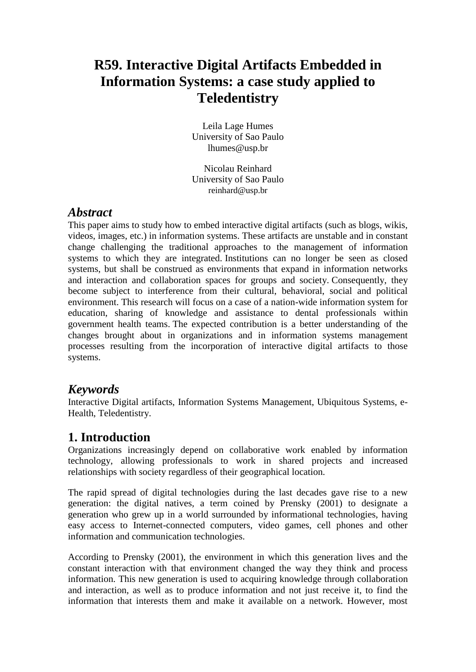# **R59. Interactive Digital Artifacts Embedded in Information Systems: a case study applied to Teledentistry**

Leila Lage Humes University of Sao Paulo [lhumes@usp.br](mailto:lhumes@usp.br)

Nicolau Reinhard University of Sao Paulo [reinhard@usp.br](mailto:reinhard@usp.br)

#### *Abstract*

This paper aims to study how to embed interactive digital artifacts (such as blogs, wikis, videos, images, etc.) in information systems. These artifacts are unstable and in constant change challenging the traditional approaches to the management of information systems to which they are integrated. Institutions can no longer be seen as closed systems, but shall be construed as environments that expand in information networks and interaction and collaboration spaces for groups and society. Consequently, they become subject to interference from their cultural, behavioral, social and political environment. This research will focus on a case of a nation-wide information system for education, sharing of knowledge and assistance to dental professionals within government health teams. The expected contribution is a better understanding of the changes brought about in organizations and in information systems management processes resulting from the incorporation of interactive digital artifacts to those systems.

#### *Keywords*

Interactive Digital artifacts, Information Systems Management, Ubiquitous Systems, e-Health, Teledentistry.

#### **1. Introduction**

Organizations increasingly depend on collaborative work enabled by information technology, allowing professionals to work in shared projects and increased relationships with society regardless of their geographical location.

The rapid spread of digital technologies during the last decades gave rise to a new generation: the digital natives, a term coined by Prensky (2001) to designate a generation who grew up in a world surrounded by informational technologies, having easy access to Internet-connected computers, video games, cell phones and other information and communication technologies.

According to Prensky (2001), the environment in which this generation lives and the constant interaction with that environment changed the way they think and process information. This new generation is used to acquiring knowledge through collaboration and interaction, as well as to produce information and not just receive it, to find the information that interests them and make it available on a network. However, most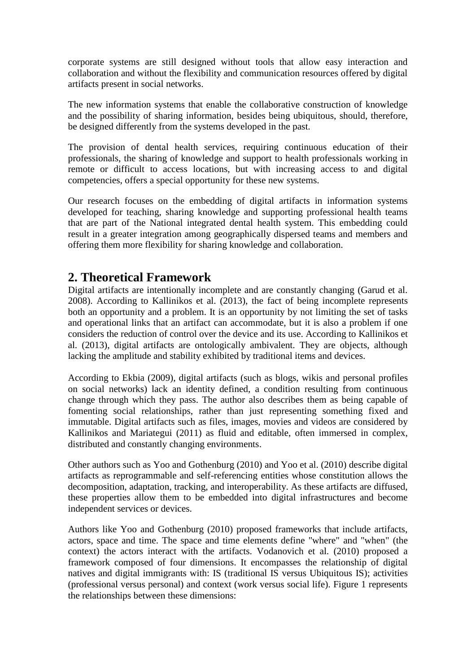corporate systems are still designed without tools that allow easy interaction and collaboration and without the flexibility and communication resources offered by digital artifacts present in social networks.

The new information systems that enable the collaborative construction of knowledge and the possibility of sharing information, besides being ubiquitous, should, therefore, be designed differently from the systems developed in the past.

The provision of dental health services, requiring continuous education of their professionals, the sharing of knowledge and support to health professionals working in remote or difficult to access locations, but with increasing access to and digital competencies, offers a special opportunity for these new systems.

Our research focuses on the embedding of digital artifacts in information systems developed for teaching, sharing knowledge and supporting professional health teams that are part of the National integrated dental health system. This embedding could result in a greater integration among geographically dispersed teams and members and offering them more flexibility for sharing knowledge and collaboration.

## **2. Theoretical Framework**

Digital artifacts are intentionally incomplete and are constantly changing (Garud et al. 2008). According to Kallinikos et al. (2013), the fact of being incomplete represents both an opportunity and a problem. It is an opportunity by not limiting the set of tasks and operational links that an artifact can accommodate, but it is also a problem if one considers the reduction of control over the device and its use. According to Kallinikos et al. (2013), digital artifacts are ontologically ambivalent. They are objects, although lacking the amplitude and stability exhibited by traditional items and devices.

According to Ekbia (2009), digital artifacts (such as blogs, wikis and personal profiles on social networks) lack an identity defined, a condition resulting from continuous change through which they pass. The author also describes them as being capable of fomenting social relationships, rather than just representing something fixed and immutable. Digital artifacts such as files, images, movies and videos are considered by Kallinikos and Mariategui (2011) as fluid and editable, often immersed in complex, distributed and constantly changing environments.

Other authors such as Yoo and Gothenburg (2010) and Yoo et al. (2010) describe digital artifacts as reprogrammable and self-referencing entities whose constitution allows the decomposition, adaptation, tracking, and interoperability. As these artifacts are diffused, these properties allow them to be embedded into digital infrastructures and become independent services or devices.

Authors like Yoo and Gothenburg (2010) proposed frameworks that include artifacts, actors, space and time. The space and time elements define "where" and "when" (the context) the actors interact with the artifacts. Vodanovich et al. (2010) proposed a framework composed of four dimensions. It encompasses the relationship of digital natives and digital immigrants with: IS (traditional IS versus Ubiquitous IS); activities (professional versus personal) and context (work versus social life). Figure 1 represents the relationships between these dimensions: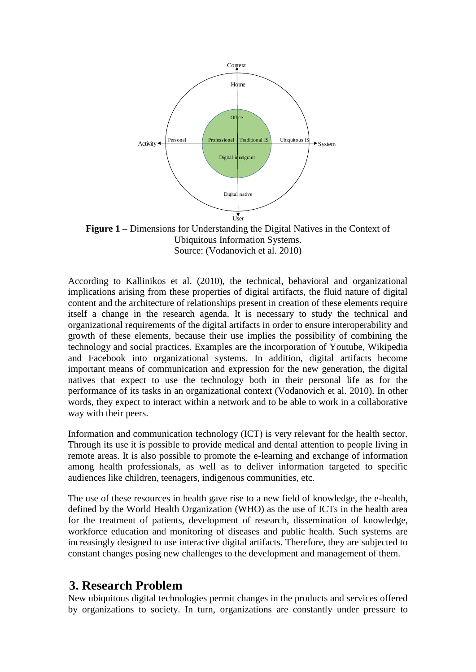

**Figure 1 –** Dimensions for Understanding the Digital Natives in the Context of Ubiquitous Information Systems. Source: (Vodanovich et al. 2010)

According to Kallinikos et al. (2010), the technical, behavioral and organizational implications arising from these properties of digital artifacts, the fluid nature of digital content and the architecture of relationships present in creation of these elements require itself a change in the research agenda. It is necessary to study the technical and organizational requirements of the digital artifacts in order to ensure interoperability and growth of these elements, because their use implies the possibility of combining the technology and social practices. Examples are the incorporation of Youtube, Wikipedia and Facebook into organizational systems. In addition, digital artifacts become important means of communication and expression for the new generation, the digital natives that expect to use the technology both in their personal life as for the performance of its tasks in an organizational context (Vodanovich et al. 2010). In other words, they expect to interact within a network and to be able to work in a collaborative way with their peers.

Information and communication technology (ICT) is very relevant for the health sector. Through its use it is possible to provide medical and dental attention to people living in remote areas. It is also possible to promote the e-learning and exchange of information among health professionals, as well as to deliver information targeted to specific audiences like children, teenagers, indigenous communities, etc.

The use of these resources in health gave rise to a new field of knowledge, the e-health, defined by the World Health Organization (WHO) as the use of ICTs in the health area for the treatment of patients, development of research, dissemination of knowledge, workforce education and monitoring of diseases and public health. Such systems are increasingly designed to use interactive digital artifacts. Therefore, they are subjected to constant changes posing new challenges to the development and management of them.

#### **3. Research Problem**

New ubiquitous digital technologies permit changes in the products and services offered by organizations to society. In turn, organizations are constantly under pressure to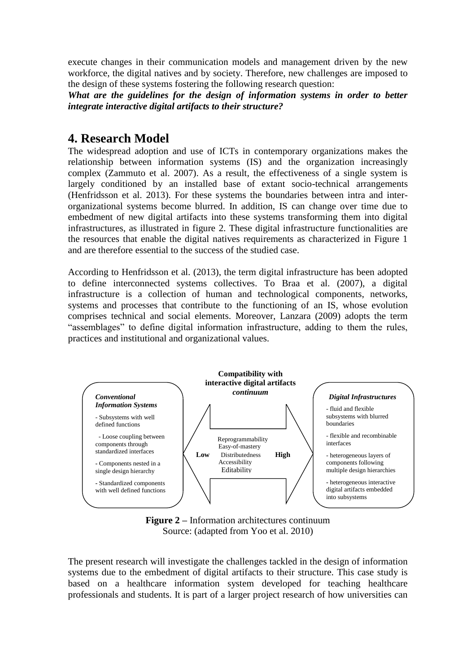execute changes in their communication models and management driven by the new workforce, the digital natives and by society. Therefore, new challenges are imposed to the design of these systems fostering the following research question:

*What are the guidelines for the design of information systems in order to better integrate interactive digital artifacts to their structure?*

# **4. Research Model**

The widespread adoption and use of ICTs in contemporary organizations makes the relationship between information systems (IS) and the organization increasingly complex (Zammuto et al. 2007). As a result, the effectiveness of a single system is largely conditioned by an installed base of extant socio-technical arrangements (Henfridsson et al. 2013). For these systems the boundaries between intra and interorganizational systems become blurred. In addition, IS can change over time due to embedment of new digital artifacts into these systems transforming them into digital infrastructures, as illustrated in figure 2. These digital infrastructure functionalities are the resources that enable the digital natives requirements as characterized in Figure 1 and are therefore essential to the success of the studied case.

According to Henfridsson et al. (2013), the term digital infrastructure has been adopted to define interconnected systems collectives. To Braa et al. (2007), a digital infrastructure is a collection of human and technological components, networks, systems and processes that contribute to the functioning of an IS, whose evolution comprises technical and social elements. Moreover, Lanzara (2009) adopts the term "assemblages" to define digital information infrastructure, adding to them the rules, practices and institutional and organizational values.





The present research will investigate the challenges tackled in the design of information systems due to the embedment of digital artifacts to their structure. This case study is based on a healthcare information system developed for teaching healthcare professionals and students. It is part of a larger project research of how universities can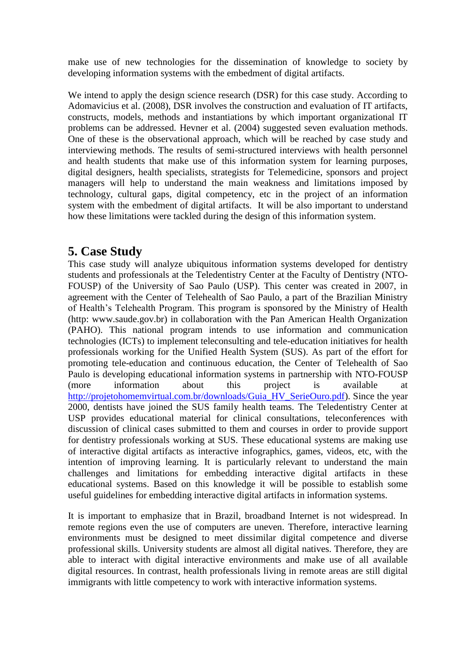make use of new technologies for the dissemination of knowledge to society by developing information systems with the embedment of digital artifacts.

We intend to apply the design science research (DSR) for this case study. According to Adomavicius et al. (2008), DSR involves the construction and evaluation of IT artifacts, constructs, models, methods and instantiations by which important organizational IT problems can be addressed. Hevner et al. (2004) suggested seven evaluation methods. One of these is the observational approach, which will be reached by case study and interviewing methods. The results of semi-structured interviews with health personnel and health students that make use of this information system for learning purposes, digital designers, health specialists, strategists for Telemedicine, sponsors and project managers will help to understand the main weakness and limitations imposed by technology, cultural gaps, digital competency, etc in the project of an information system with the embedment of digital artifacts. It will be also important to understand how these limitations were tackled during the design of this information system.

## **5. Case Study**

This case study will analyze ubiquitous information systems developed for dentistry students and professionals at the Teledentistry Center at the Faculty of Dentistry (NTO-FOUSP) of the University of Sao Paulo (USP). This center was created in 2007, in agreement with the Center of Telehealth of Sao Paulo, a part of the Brazilian Ministry of Health's Telehealth Program. This program is sponsored by the Ministry of Health (http: www.saude.gov.br) in collaboration with the Pan American Health Organization (PAHO). This national program intends to use information and communication technologies (ICTs) to implement teleconsulting and tele-education initiatives for health professionals working for the Unified Health System (SUS). As part of the effort for promoting tele-education and continuous education, the Center of Telehealth of Sao Paulo is developing educational information systems in partnership with NTO-FOUSP (more information about this project is available [http://projetohomemvirtual.com.br/downloads/Guia\\_HV\\_SerieOuro.pdf\)](http://projetohomemvirtual.com.br/downloads/Guia_HV_SerieOuro.pdf). Since the year 2000, dentists have joined the SUS family health teams. The Teledentistry Center at USP provides educational material for clinical consultations, teleconferences with discussion of clinical cases submitted to them and courses in order to provide support for dentistry professionals working at SUS. These educational systems are making use of interactive digital artifacts as interactive infographics, games, videos, etc, with the intention of improving learning. It is particularly relevant to understand the main challenges and limitations for embedding interactive digital artifacts in these educational systems. Based on this knowledge it will be possible to establish some useful guidelines for embedding interactive digital artifacts in information systems.

It is important to emphasize that in Brazil, broadband Internet is not widespread. In remote regions even the use of computers are uneven. Therefore, interactive learning environments must be designed to meet dissimilar digital competence and diverse professional skills. University students are almost all digital natives. Therefore, they are able to interact with digital interactive environments and make use of all available digital resources. In contrast, health professionals living in remote areas are still digital immigrants with little competency to work with interactive information systems.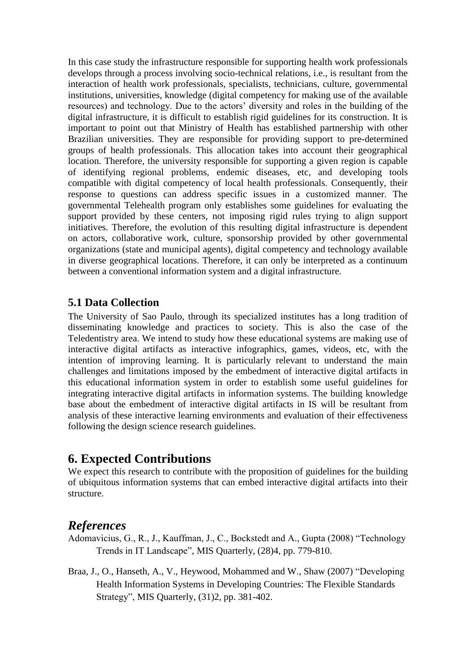In this case study the infrastructure responsible for supporting health work professionals develops through a process involving socio-technical relations, i.e., is resultant from the interaction of health work professionals, specialists, technicians, culture, governmental institutions, universities, knowledge (digital competency for making use of the available resources) and technology. Due to the actors' diversity and roles in the building of the digital infrastructure, it is difficult to establish rigid guidelines for its construction. It is important to point out that Ministry of Health has established partnership with other Brazilian universities. They are responsible for providing support to pre-determined groups of health professionals. This allocation takes into account their geographical location. Therefore, the university responsible for supporting a given region is capable of identifying regional problems, endemic diseases, etc, and developing tools compatible with digital competency of local health professionals. Consequently, their response to questions can address specific issues in a customized manner. The governmental Telehealth program only establishes some guidelines for evaluating the support provided by these centers, not imposing rigid rules trying to align support initiatives. Therefore, the evolution of this resulting digital infrastructure is dependent on actors, collaborative work, culture, sponsorship provided by other governmental organizations (state and municipal agents), digital competency and technology available in diverse geographical locations. Therefore, it can only be interpreted as a continuum between a conventional information system and a digital infrastructure.

#### **5.1 Data Collection**

The University of Sao Paulo, through its specialized institutes has a long tradition of disseminating knowledge and practices to society. This is also the case of the Teledentistry area. We intend to study how these educational systems are making use of interactive digital artifacts as interactive infographics, games, videos, etc, with the intention of improving learning. It is particularly relevant to understand the main challenges and limitations imposed by the embedment of interactive digital artifacts in this educational information system in order to establish some useful guidelines for integrating interactive digital artifacts in information systems. The building knowledge base about the embedment of interactive digital artifacts in IS will be resultant from analysis of these interactive learning environments and evaluation of their effectiveness following the design science research guidelines.

#### **6. Expected Contributions**

We expect this research to contribute with the proposition of guidelines for the building of ubiquitous information systems that can embed interactive digital artifacts into their structure.

#### *References*

- Adomavicius, G., R., J., Kauffman, J., C., Bockstedt and A., Gupta (2008) "Technology Trends in IT Landscape", MIS Quarterly, (28)4, pp. 779-810.
- Braa, J., O., Hanseth, A., V., Heywood, Mohammed and W., Shaw (2007) "Developing Health Information Systems in Developing Countries: The Flexible Standards Strategy", MIS Quarterly, (31)2, pp. 381-402.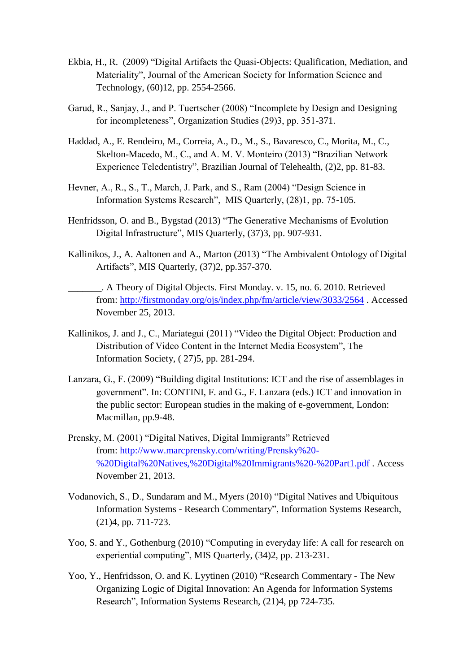- Ekbia, H., R. (2009) "Digital Artifacts the Quasi-Objects: Qualification, Mediation, and Materiality", Journal of the American Society for Information Science and Technology, (60)12, pp. 2554-2566.
- Garud, R., Sanjay, J., and P. Tuertscher (2008) "Incomplete by Design and Designing for incompleteness", Organization Studies (29)3, pp. 351-371.
- Haddad, A., E. Rendeiro, M., Correia, A., D., M., S., Bavaresco, C., Morita, M., C., Skelton-Macedo, M., C., and A. M. V. Monteiro (2013) "Brazilian Network Experience Teledentistry", Brazilian Journal of Telehealth, (2)2, pp. 81-83.
- Hevner, A., R., S., T., March, J. Park, and S., Ram (2004) "Design Science in Information Systems Research", MIS Quarterly, (28)1, pp. 75-105.
- Henfridsson, O. and B., Bygstad (2013) "The Generative Mechanisms of Evolution Digital Infrastructure", MIS Quarterly, (37)3, pp. 907-931.
- Kallinikos, J., A. Aaltonen and A., Marton (2013) "The Ambivalent Ontology of Digital Artifacts", MIS Quarterly, (37)2, pp.357-370.
	- \_\_\_\_\_\_\_. A Theory of Digital Objects. First Monday. v. 15, no. 6. 2010. Retrieved from: [http://firstmonday.org/ojs/index.php/fm/article/view/3033/2564](https://translate.google.com/translate?hl=pt-BR&prev=_t&sl=pt-BR&tl=en&u=http://firstmonday.org/ojs/index.php/fm/article/view/3033/2564) . Accessed November 25, 2013.
- Kallinikos, J. and J., C., Mariategui (2011) "Video the Digital Object: Production and Distribution of Video Content in the Internet Media Ecosystem", The Information Society, ( 27)5, pp. 281-294.
- Lanzara, G., F. (2009) "Building digital Institutions: ICT and the rise of assemblages in government". In: CONTINI, F. and G., F. Lanzara (eds.) ICT and innovation in the public sector: European studies in the making of e-government, London: Macmillan, pp.9-48.
- Prensky, M. (2001) "Digital Natives, Digital Immigrants" Retrieved from: [http://www.marcprensky.com/writing/Prensky%20-](https://translate.google.com/translate?hl=pt-BR&prev=_t&sl=pt-BR&tl=en&u=http://www.marcprensky.com/writing/Prensky%2520-%2520Digital%2520Natives,%2520Digital%2520Immigrants%2520-%2520Part1.pdf) [%20Digital%20Natives,%20Digital%20Immigrants%20-%20Part1.pdf](https://translate.google.com/translate?hl=pt-BR&prev=_t&sl=pt-BR&tl=en&u=http://www.marcprensky.com/writing/Prensky%2520-%2520Digital%2520Natives,%2520Digital%2520Immigrants%2520-%2520Part1.pdf) . Access November 21, 2013.
- Vodanovich, S., D., Sundaram and M., Myers (2010) "Digital Natives and Ubiquitous Information Systems - Research Commentary", Information Systems Research, (21)4, pp. 711-723.
- Yoo, S. and Y., Gothenburg (2010) "Computing in everyday life: A call for research on experiential computing", MIS Quarterly, (34)2, pp. 213-231.
- Yoo, Y., Henfridsson, O. and K. Lyytinen (2010) "Research Commentary The New Organizing Logic of Digital Innovation: An Agenda for Information Systems Research", Information Systems Research, (21)4, pp 724-735.